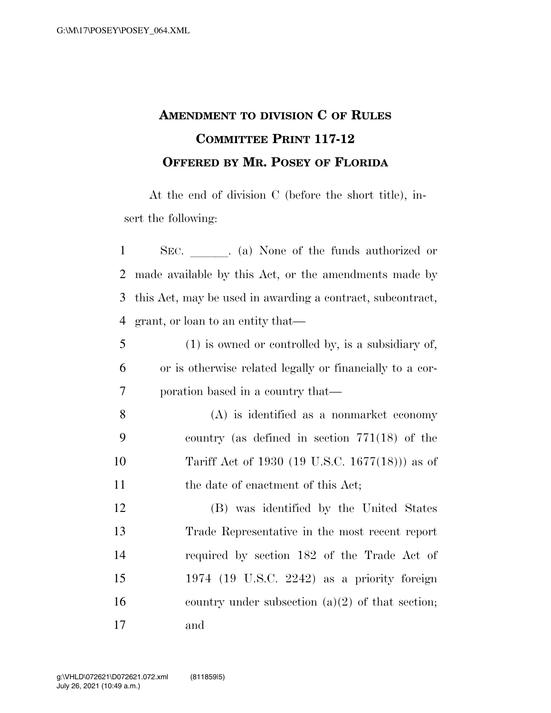## **AMENDMENT TO DIVISION C OF RULES COMMITTEE PRINT 117-12 OFFERED BY MR. POSEY OF FLORIDA**

At the end of division C (before the short title), insert the following:

| $\mathbf{1}$   | SEC. (a) None of the funds authorized or                   |
|----------------|------------------------------------------------------------|
| 2              | made available by this Act, or the amendments made by      |
| 3              | this Act, may be used in awarding a contract, subcontract, |
| $\overline{4}$ | grant, or loan to an entity that—                          |
| 5              | $(1)$ is owned or controlled by, is a subsidiary of,       |
| 6              | or is otherwise related legally or financially to a cor-   |
| 7              | poration based in a country that—                          |
| 8              | $(A)$ is identified as a nonmarket economy                 |
| 9              | country (as defined in section $771(18)$ of the            |
| 10             | Tariff Act of 1930 (19 U.S.C. 1677(18))) as of             |
| 11             | the date of enactment of this Act;                         |
| 12             | (B) was identified by the United States                    |
| 13             | Trade Representative in the most recent report             |
| 14             | required by section 182 of the Trade Act of                |
| 15             | $1974$ (19 U.S.C. 2242) as a priority foreign              |
| 16             | country under subsection $(a)(2)$ of that section;         |
| 17             | and                                                        |